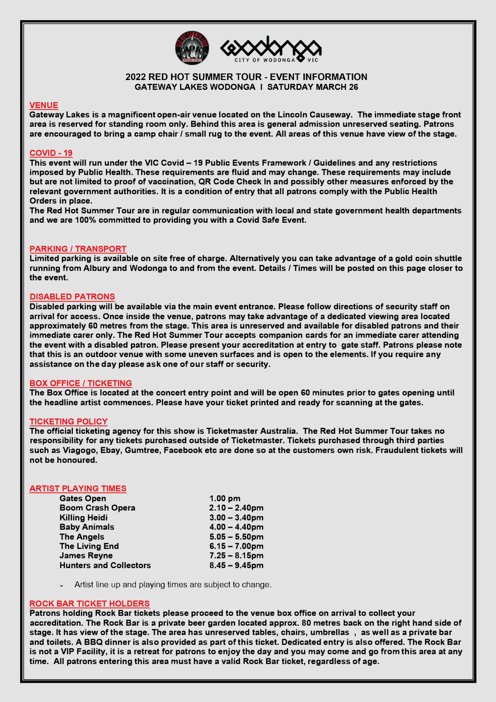

## **2022 RED HOT SUMMER TOUR - EVENT INFORMATION GATEWAY LAKES WODONGA I SATURDAY MARCH 26**

## **VENUE**

**Gateway Lakes is a magnificent open-air venue located on the Lincoln Causeway. The immediate stage front area is reserved for standing room only. Behind this area is general admission unreserved seating. Patrons are encouraged to bring a camp chair / small rug to the event. All areas of this venue have view of the stage.** 

## **COVID -19**

**This event will run under the VIC Covid - 19 Public Events Framework/ Guidelines and any restrictions imposed by Public Health. These requirements are fluid and may change. These requirements may include but are not limited to proof of vaccination, QR Code Check In and possibly other measures enforced by the relevant government authorities. It is a condition of entry that all patrons comply with the Public Health Orders in place.** 

**The Red Hot Summer Tour are in regular communication with local and state government health departments and we are 100% committed to providing you with a Covid Safe Event.** 

## **PARKING / TRANSPORT**

**Limited parking is available on site free of charge. Alternatively you can take advantage of a gold coin shuttle running from Albury and Wodonga to and from the event. Details / Times will be posted on this page closer to the event.** 

## **DISABLED PATRONS**

**Disabled parking will be available via the main event entrance. Please follow directions of security staff on arrival for access. Once inside the venue, patrons may take advantage of a dedicated viewing area located approximately 60 metres from the stage. This area is unreserved and available for disabled patrons and their immediate carer only. The Red Hot Summer Tour accepts companion cards for an immediate carer attending the event with a disabled patron. Please present your accreditation at entry to gate staff. Patrons please note that this is an outdoor venue with some uneven surfaces and is open to the elements. If you require any assistance on the day please ask one of our staff or security.** 

## **BOX OFFICE / TICKETING**

**The Box Office is located at the concert entry point and will be open 60 minutes prior to gates opening until the headline artist commences. Please have your ticket printed and ready for scanning at the gates.** 

## **TICKETING POLICY**

**The official ticketing agency for this show is Ticketmaster Australia. The Red Hot Summer Tour takes no responsibility for any tickets purchased outside of Ticketmaster. Tickets purchased through third parties such as Viagogo, Ebay, Gumtree, Facebook etc are done so at the customers own risk. Fraudulent tickets will not be honoured.** 

## **ARTIST PLAYING TIMES**

| $1.00$ pm        |
|------------------|
| $2.10 - 2.40$ pm |
| $3.00 - 3.40$ pm |
| $4.00 - 4.40$ pm |
| $5.05 - 5.50$ pm |
| $6.15 - 7.00$ pm |
| $7.25 - 8.15$ pm |
| $8.45 - 9.45$ pm |
|                  |

**Artist line up and playing times are subject to change.** 

## **ROCK BAR TICKET HOLDERS**

**Patrons holding Rock Bar tickets please proceed to the venue box office on arrival to collect your accreditation. The Rock Bar is a private beer garden located approx. 80 metres back on the right hand side of stage. It has view of the stage. The area has unreserved tables, chairs, umbrellas , as well as a private bar and toilets. A BBQ dinner is also provided as part of this ticket. Dedicated entry is also offered. The Rock Bar is not a VIP Facility, it is a retreat for patrons to enjoy the day and you may come and go from this area at any time. All patrons entering this area must have a valid Rock Bar ticket, regardless of age.**